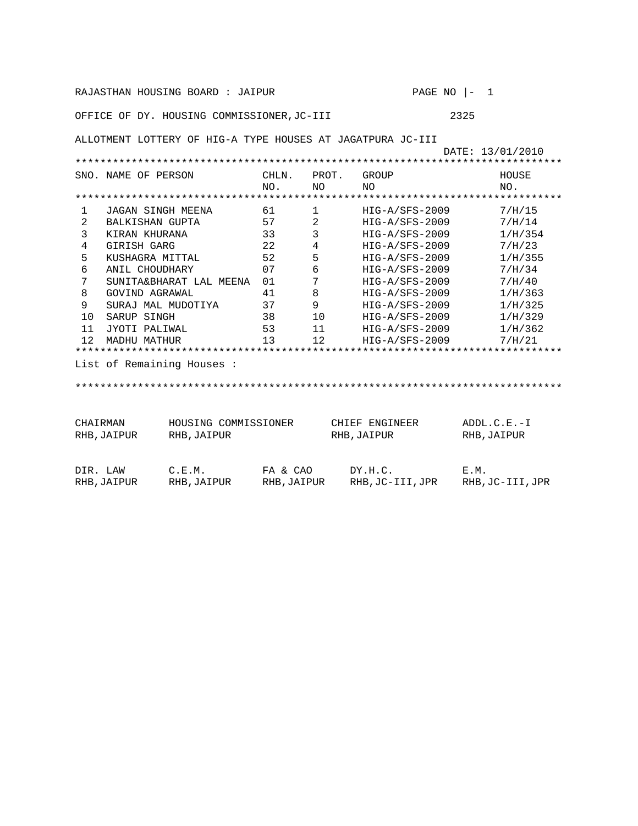| RAJASTHAN HOUSING BOARD : JAIPUR<br>PAGE NO<br>$\mathbf{1}$<br>$\vert -$       |                     |                           |              |                 |                  |  |             |                  |  |  |  |  |
|--------------------------------------------------------------------------------|---------------------|---------------------------|--------------|-----------------|------------------|--|-------------|------------------|--|--|--|--|
| 2325<br>OFFICE OF DY. HOUSING COMMISSIONER, JC-III                             |                     |                           |              |                 |                  |  |             |                  |  |  |  |  |
| ALLOTMENT LOTTERY OF HIG-A TYPE HOUSES AT JAGATPURA JC-III<br>DATE: 13/01/2010 |                     |                           |              |                 |                  |  |             |                  |  |  |  |  |
|                                                                                |                     |                           |              |                 |                  |  |             |                  |  |  |  |  |
|                                                                                | SNO. NAME OF PERSON |                           | CHLN.<br>NO. | PROT.<br>NO.    | GROUP<br>NΟ      |  |             | HOUSE<br>NO.     |  |  |  |  |
|                                                                                |                     |                           |              |                 |                  |  |             |                  |  |  |  |  |
| $\mathbf{1}$                                                                   | JAGAN SINGH MEENA   |                           | 61           | $\mathbf{1}$    | $HIG-A/SFS-2009$ |  |             | 7/H/15           |  |  |  |  |
| 2                                                                              | BALKISHAN GUPTA     |                           | 57           | $\mathbf{2}$    | HIG-A/SFS-2009   |  |             | 7/H/14           |  |  |  |  |
| 3                                                                              | KIRAN KHURANA       |                           | 33           | $\mathbf{3}$    | HIG-A/SFS-2009   |  |             | 1/H/354          |  |  |  |  |
| $\overline{4}$                                                                 | <b>GIRISH GARG</b>  |                           | 22           | $4\overline{ }$ | HIG-A/SFS-2009   |  |             | 7/H/23           |  |  |  |  |
| 5                                                                              | KUSHAGRA MITTAL     |                           | 52           | 5               | HIG-A/SFS-2009   |  |             | 1/H/355          |  |  |  |  |
| 6                                                                              | ANIL CHOUDHARY      |                           | 07           | 6               | HIG-A/SFS-2009   |  |             | 7/H/34           |  |  |  |  |
| 7                                                                              |                     | SUNITA&BHARAT LAL MEENA   | 01           | 7               | HIG-A/SFS-2009   |  |             | 7/H/40           |  |  |  |  |
| 8                                                                              | GOVIND AGRAWAL      |                           | 41           | 8               | HIG-A/SFS-2009   |  |             | 1/H/363          |  |  |  |  |
| 9                                                                              | SURAJ MAL MUDOTIYA  |                           | 37           | 9               | HIG-A/SFS-2009   |  | 1/H/325     |                  |  |  |  |  |
| 10                                                                             | SARUP SINGH         |                           | 38           | 10              | HIG-A/SFS-2009   |  |             | 1/H/329          |  |  |  |  |
| 11                                                                             | JYOTI PALIWAL       |                           | 53           | 11              | HIG-A/SFS-2009   |  |             | 1/H/362          |  |  |  |  |
| 12.                                                                            | <b>MADHU MATHUR</b> | 13                        | 12           | HIG-A/SFS-2009  |                  |  | 7/H/21      |                  |  |  |  |  |
|                                                                                |                     |                           |              |                 |                  |  |             |                  |  |  |  |  |
|                                                                                |                     | List of Remaining Houses: |              |                 |                  |  |             |                  |  |  |  |  |
|                                                                                |                     |                           |              |                 |                  |  |             |                  |  |  |  |  |
|                                                                                |                     |                           |              |                 |                  |  |             |                  |  |  |  |  |
| $ADDL.C.E.-I$<br>CHAIRMAN<br>HOUSING COMMISSIONER<br>CHIEF ENGINEER            |                     |                           |              |                 |                  |  |             |                  |  |  |  |  |
| RHB, JAIPUR                                                                    |                     | RHB, JAIPUR               |              | RHB, JAIPUR     |                  |  | RHB, JAIPUR |                  |  |  |  |  |
|                                                                                |                     |                           |              |                 |                  |  |             |                  |  |  |  |  |
| DIR. LAW                                                                       |                     | C.E.M.                    | FA & CAO     |                 | DY.H.C.          |  | E.M.        |                  |  |  |  |  |
|                                                                                | RHB, JAIPUR         | RHB, JAIPUR               | RHB, JAIPUR  |                 | RHB, JC-III, JPR |  |             | RHB, JC-III, JPR |  |  |  |  |